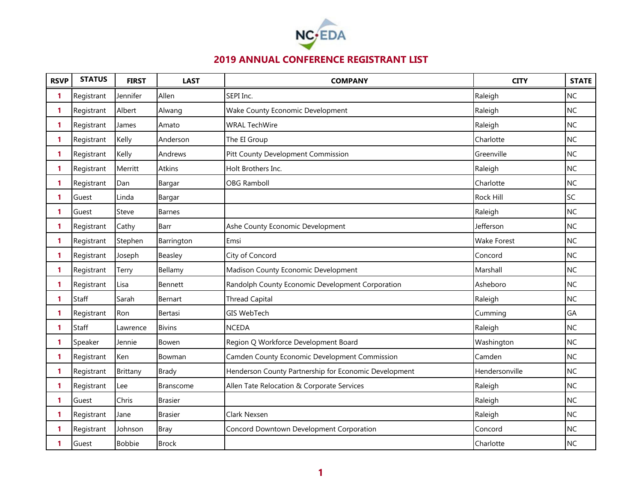

| <b>RSVP</b> | <b>STATUS</b> | <b>FIRST</b>  | <b>LAST</b>      | <b>COMPANY</b>                                        | <b>CITY</b>        | <b>STATE</b> |
|-------------|---------------|---------------|------------------|-------------------------------------------------------|--------------------|--------------|
| 1           | Registrant    | Jennifer      | Allen            | SEPI Inc.                                             | Raleigh            | <b>NC</b>    |
| 1           | Registrant    | Albert        | Alwang           | Wake County Economic Development                      | Raleigh            | <b>NC</b>    |
| 1           | Registrant    | James         | Amato            | <b>WRAL TechWire</b>                                  | Raleigh            | <b>NC</b>    |
| 1           | Registrant    | Kelly         | Anderson         | The EI Group                                          | Charlotte          | <b>NC</b>    |
| 1           | Registrant    | Kelly         | Andrews          | Pitt County Development Commission                    | Greenville         | <b>NC</b>    |
| 1           | Registrant    | Merritt       | <b>Atkins</b>    | Holt Brothers Inc.                                    | Raleigh            | <b>NC</b>    |
| 1           | Registrant    | Dan           | Bargar           | <b>OBG Ramboll</b>                                    | Charlotte          | <b>NC</b>    |
| 1           | Guest         | Linda         | Bargar           |                                                       | Rock Hill          | SC           |
| 1           | Guest         | Steve         | <b>Barnes</b>    |                                                       | Raleigh            | <b>NC</b>    |
| 1           | Registrant    | Cathy         | Barr             | Ashe County Economic Development                      | Jefferson          | <b>NC</b>    |
| 1           | Registrant    | Stephen       | Barrington       | Emsi                                                  | <b>Wake Forest</b> | <b>NC</b>    |
| 1           | Registrant    | Joseph        | Beasley          | City of Concord                                       | Concord            | <b>NC</b>    |
| 1           | Registrant    | Terry         | Bellamy          | Madison County Economic Development                   | Marshall           | <b>NC</b>    |
| 1           | Registrant    | Lisa          | Bennett          | Randolph County Economic Development Corporation      | Asheboro           | <b>NC</b>    |
| 1           | Staff         | Sarah         | Bernart          | <b>Thread Capital</b>                                 | Raleigh            | <b>NC</b>    |
| 1           | Registrant    | Ron           | Bertasi          | GIS WebTech                                           | Cumming            | GA           |
| 1           | Staff         | Lawrence      | <b>Bivins</b>    | <b>NCEDA</b>                                          | Raleigh            | <b>NC</b>    |
| 1           | Speaker       | Jennie        | Bowen            | Region Q Workforce Development Board                  | Washington         | <b>NC</b>    |
| 1           | Registrant    | Ken           | Bowman           | Camden County Economic Development Commission         | Camden             | <b>NC</b>    |
| 1           | Registrant    | Brittany      | <b>Brady</b>     | Henderson County Partnership for Economic Development | Hendersonville     | <b>NC</b>    |
| 1           | Registrant    | Lee           | <b>Branscome</b> | Allen Tate Relocation & Corporate Services            | Raleigh            | <b>NC</b>    |
| 1           | Guest         | Chris         | <b>Brasier</b>   |                                                       | Raleigh            | <b>NC</b>    |
| 1           | Registrant    | Jane          | <b>Brasier</b>   | Clark Nexsen                                          | Raleigh            | <b>NC</b>    |
| 1           | Registrant    | Johnson       | <b>Bray</b>      | Concord Downtown Development Corporation              | Concord            | <b>NC</b>    |
| 1           | Guest         | <b>Bobbie</b> | <b>Brock</b>     |                                                       | Charlotte          | <b>NC</b>    |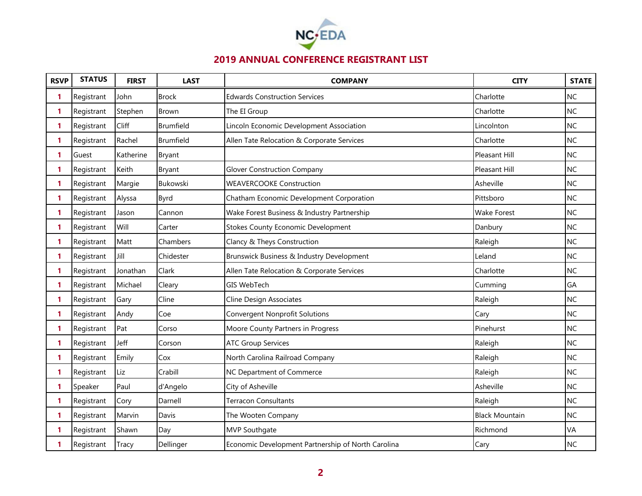

| <b>RSVP</b> | <b>STATUS</b> | <b>FIRST</b> | <b>LAST</b>  | <b>COMPANY</b>                                     | <b>CITY</b>           | <b>STATE</b> |
|-------------|---------------|--------------|--------------|----------------------------------------------------|-----------------------|--------------|
| 1           | Registrant    | John         | <b>Brock</b> | <b>Edwards Construction Services</b>               | Charlotte             | <b>NC</b>    |
| 1           | Registrant    | Stephen      | <b>Brown</b> | The EI Group                                       | Charlotte             | <b>NC</b>    |
| 1           | Registrant    | Cliff        | Brumfield    | Lincoln Economic Development Association           | Lincolnton            | <b>NC</b>    |
| 1           | Registrant    | Rachel       | Brumfield    | Allen Tate Relocation & Corporate Services         | Charlotte             | <b>NC</b>    |
| 1           | Guest         | Katherine    | Bryant       |                                                    | Pleasant Hill         | <b>NC</b>    |
| 1           | Registrant    | Keith        | Bryant       | <b>Glover Construction Company</b>                 | Pleasant Hill         | <b>NC</b>    |
| 1           | Registrant    | Margie       | Bukowski     | <b>WEAVERCOOKE Construction</b>                    | Asheville             | <b>NC</b>    |
| 1           | Registrant    | Alyssa       | <b>Byrd</b>  | Chatham Economic Development Corporation           | Pittsboro             | <b>NC</b>    |
| 1           | Registrant    | Jason        | Cannon       | Wake Forest Business & Industry Partnership        | <b>Wake Forest</b>    | <b>NC</b>    |
| 1           | Registrant    | Will         | Carter       | <b>Stokes County Economic Development</b>          | Danbury               | <b>NC</b>    |
| 1           | Registrant    | Matt         | Chambers     | Clancy & Theys Construction                        | Raleigh               | <b>NC</b>    |
| 1           | Registrant    | Jill         | Chidester    | Brunswick Business & Industry Development          | Leland                | <b>NC</b>    |
| 1           | Registrant    | Jonathan     | Clark        | Allen Tate Relocation & Corporate Services         | Charlotte             | <b>NC</b>    |
| 1           | Registrant    | Michael      | Cleary       | <b>GIS WebTech</b>                                 | Cumming               | GA           |
| 1           | Registrant    | Gary         | Cline        | <b>Cline Design Associates</b>                     | Raleigh               | <b>NC</b>    |
| 1           | Registrant    | Andy         | Coe          | <b>Convergent Nonprofit Solutions</b>              | Cary                  | <b>NC</b>    |
| 1           | Registrant    | Pat          | Corso        | Moore County Partners in Progress                  | Pinehurst             | <b>NC</b>    |
| 1           | Registrant    | Jeff         | Corson       | <b>ATC Group Services</b>                          | Raleigh               | <b>NC</b>    |
| 1           | Registrant    | Emily        | Cox          | North Carolina Railroad Company                    | Raleigh               | <b>NC</b>    |
| 1           | Registrant    | Liz          | Crabill      | NC Department of Commerce                          | Raleigh               | <b>NC</b>    |
| 1           | Speaker       | Paul         | d'Angelo     | City of Asheville                                  | Asheville             | <b>NC</b>    |
| 1           | Registrant    | Cory         | Darnell      | Terracon Consultants                               | Raleigh               | <b>NC</b>    |
| 1           | Registrant    | Marvin       | Davis        | The Wooten Company                                 | <b>Black Mountain</b> | <b>NC</b>    |
| 1.          | Registrant    | Shawn        | Day          | MVP Southgate                                      | Richmond              | VA           |
| 1           | Registrant    | Tracy        | Dellinger    | Economic Development Partnership of North Carolina | Cary                  | <b>NC</b>    |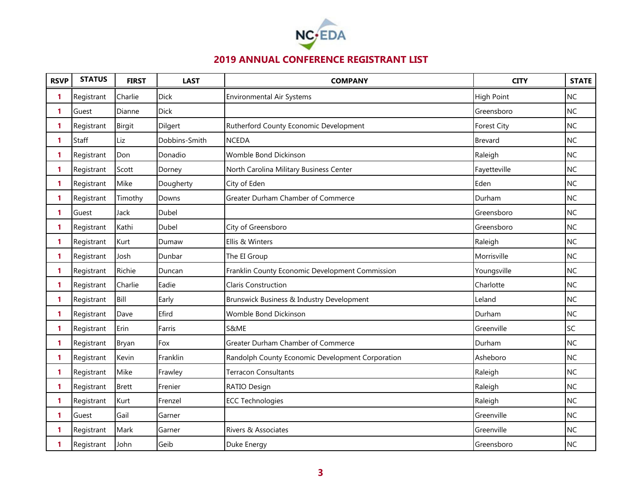

| <b>RSVP</b> | <b>STATUS</b> | <b>FIRST</b>  | <b>LAST</b>   | <b>COMPANY</b>                                   | <b>CITY</b>       | <b>STATE</b> |
|-------------|---------------|---------------|---------------|--------------------------------------------------|-------------------|--------------|
| 1           | Registrant    | Charlie       | Dick          | <b>Environmental Air Systems</b>                 | <b>High Point</b> | <b>NC</b>    |
| 1           | Guest         | Dianne        | <b>Dick</b>   |                                                  | Greensboro        | <b>NC</b>    |
| 1           | Registrant    | <b>Birgit</b> | Dilgert       | Rutherford County Economic Development           | Forest City       | <b>NC</b>    |
| 1           | Staff         | Liz           | Dobbins-Smith | <b>NCEDA</b>                                     | <b>Brevard</b>    | <b>NC</b>    |
| 1           | Registrant    | Don           | Donadio       | Womble Bond Dickinson                            | Raleigh           | <b>NC</b>    |
| 1           | Registrant    | Scott         | Dorney        | North Carolina Military Business Center          | Fayetteville      | <b>NC</b>    |
| 1           | Registrant    | Mike          | Dougherty     | City of Eden                                     | Eden              | <b>NC</b>    |
| 1           | Registrant    | Timothy       | Downs         | Greater Durham Chamber of Commerce               | Durham            | <b>NC</b>    |
| 1           | Guest         | Jack          | Dubel         |                                                  | Greensboro        | <b>NC</b>    |
| 1           | Registrant    | Kathi         | Dubel         | City of Greensboro                               | Greensboro        | <b>NC</b>    |
| 1           | Registrant    | Kurt          | Dumaw         | Ellis & Winters                                  | Raleigh           | <b>NC</b>    |
| 1           | Registrant    | Josh          | Dunbar        | The EI Group                                     | Morrisville       | <b>NC</b>    |
| 1           | Registrant    | Richie        | Duncan        | Franklin County Economic Development Commission  | Youngsville       | <b>NC</b>    |
| 1           | Registrant    | Charlie       | Eadie         | <b>Claris Construction</b>                       | Charlotte         | <b>NC</b>    |
| 1           | Registrant    | Bill          | Early         | Brunswick Business & Industry Development        | Leland            | <b>NC</b>    |
| 1           | Registrant    | Dave          | Efird         | Womble Bond Dickinson                            | Durham            | <b>NC</b>    |
| 1           | Registrant    | Erin          | Farris        | S&ME                                             | Greenville        | SC           |
| 1           | Registrant    | Bryan         | Fox           | Greater Durham Chamber of Commerce               | Durham            | <b>NC</b>    |
| 1           | Registrant    | Kevin         | Franklin      | Randolph County Economic Development Corporation | Asheboro          | <b>NC</b>    |
| 1           | Registrant    | Mike          | Frawley       | <b>Terracon Consultants</b>                      | Raleigh           | <b>NC</b>    |
| 1           | Registrant    | <b>Brett</b>  | Frenier       | RATIO Design                                     | Raleigh           | <b>NC</b>    |
| 1           | Registrant    | Kurt          | Frenzel       | <b>ECC Technologies</b>                          | Raleigh           | <b>NC</b>    |
| 1           | Guest         | Gail          | Garner        |                                                  | Greenville        | <b>NC</b>    |
| 1           | Registrant    | Mark          | Garner        | Rivers & Associates                              | Greenville        | <b>NC</b>    |
| 1           | Registrant    | John          | Geib          | Duke Energy                                      | Greensboro        | <b>NC</b>    |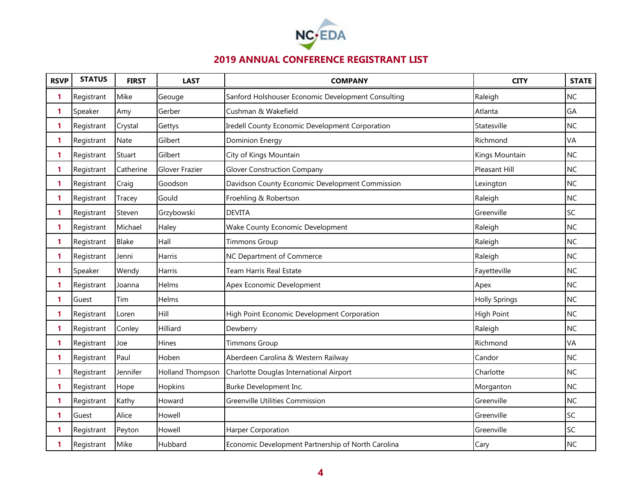

| <b>RSVP</b>  | <b>STATUS</b> | <b>FIRST</b> | <b>LAST</b>             | <b>COMPANY</b>                                     | <b>CITY</b>          | <b>STATE</b> |
|--------------|---------------|--------------|-------------------------|----------------------------------------------------|----------------------|--------------|
| 1            | Registrant    | Mike         | Geouge                  | Sanford Holshouser Economic Development Consulting | Raleigh              | <b>NC</b>    |
| $\mathbf{1}$ | Speaker       | Amy          | Gerber                  | Cushman & Wakefield                                | Atlanta              | GA           |
| 1            | Registrant    | Crystal      | Gettys                  | Iredell County Economic Development Corporation    | Statesville          | <b>NC</b>    |
| 1            | Registrant    | Nate         | Gilbert                 | <b>Dominion Energy</b>                             | Richmond             | VA           |
| 1.           | Registrant    | Stuart       | Gilbert                 | City of Kings Mountain                             | Kings Mountain       | <b>NC</b>    |
| 1            | Registrant    | Catherine    | Glover Frazier          | <b>Glover Construction Company</b>                 | Pleasant Hill        | <b>NC</b>    |
| 1            | Registrant    | Craig        | Goodson                 | Davidson County Economic Development Commission    | Lexington            | NC           |
| 1            | Registrant    | Tracey       | Gould                   | Froehling & Robertson                              | Raleigh              | <b>NC</b>    |
| 1            | Registrant    | Steven       | Grzybowski              | <b>DEVITA</b>                                      | Greenville           | SC           |
| 1            | Registrant    | Michael      | Haley                   | Wake County Economic Development                   | Raleigh              | <b>NC</b>    |
| 1.           | Registrant    | Blake        | Hall                    | <b>Timmons Group</b>                               | Raleigh              | <b>NC</b>    |
| 1            | Registrant    | Jenni        | Harris                  | NC Department of Commerce                          | Raleigh              | <b>NC</b>    |
| 1.           | Speaker       | Wendy        | Harris                  | Team Harris Real Estate                            | Fayetteville         | NC           |
| 1            | Registrant    | Joanna       | Helms                   | Apex Economic Development                          | Apex                 | NC           |
| 1            | Guest         | Tim          | Helms                   |                                                    | <b>Holly Springs</b> | <b>NC</b>    |
| 1            | Registrant    | Loren        | Hill                    | High Point Economic Development Corporation        | <b>High Point</b>    | NC           |
| 1.           | Registrant    | Conley       | Hilliard                | Dewberry                                           | Raleigh              | <b>NC</b>    |
| 1            | Registrant    | Joe          | Hines                   | <b>Timmons Group</b>                               | Richmond             | VA           |
| 1            | Registrant    | Paul         | Hoben                   | Aberdeen Carolina & Western Railway                | Candor               | NC           |
| 1.           | Registrant    | Jennifer     | <b>Holland Thompson</b> | Charlotte Douglas International Airport            | Charlotte            | NC           |
| 1            | Registrant    | Hope         | Hopkins                 | Burke Development Inc.                             | Morganton            | NC           |
| 1.           | Registrant    | Kathy        | Howard                  | <b>Greenville Utilities Commission</b>             | Greenville           | <b>NC</b>    |
| 1.           | Guest         | Alice        | Howell                  |                                                    | Greenville           | SC           |
| 1            | Registrant    | Peyton       | Howell                  | Harper Corporation                                 | Greenville           | SC           |
| 1            | Registrant    | Mike         | Hubbard                 | Economic Development Partnership of North Carolina | Cary                 | NC           |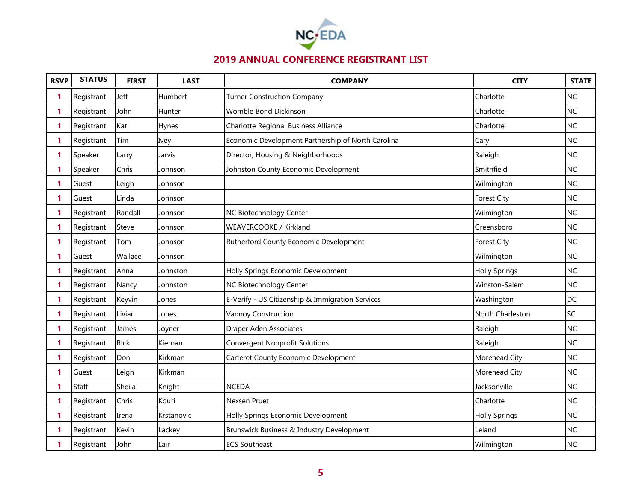

| <b>RSVP</b> | <b>STATUS</b> | <b>FIRST</b> | <b>LAST</b> | <b>COMPANY</b>                                     | <b>CITY</b>          | <b>STATE</b> |
|-------------|---------------|--------------|-------------|----------------------------------------------------|----------------------|--------------|
| 1           | Registrant    | Jeff         | Humbert     | <b>Turner Construction Company</b>                 | Charlotte            | <b>NC</b>    |
| 1           | Registrant    | John         | Hunter      | Womble Bond Dickinson                              | Charlotte            | <b>NC</b>    |
| 1           | Registrant    | Kati         | Hynes       | Charlotte Regional Business Alliance               | Charlotte            | <b>NC</b>    |
| 1           | Registrant    | Tim          | Ivey        | Economic Development Partnership of North Carolina | Cary                 | <b>NC</b>    |
| 1           | Speaker       | Larry        | Jarvis      | Director, Housing & Neighborhoods                  | Raleigh              | <b>NC</b>    |
| 1           | Speaker       | Chris        | Johnson     | Johnston County Economic Development               | Smithfield           | <b>NC</b>    |
| 1           | Guest         | Leigh        | Johnson     |                                                    | Wilmington           | <b>NC</b>    |
| 1           | Guest         | Linda        | Johnson     |                                                    | <b>Forest City</b>   | <b>NC</b>    |
| 1           | Registrant    | Randall      | Johnson     | NC Biotechnology Center                            | Wilmington           | <b>NC</b>    |
| 1           | Registrant    | Steve        | Johnson     | WEAVERCOOKE / Kirkland                             | Greensboro           | <b>NC</b>    |
| 1           | Registrant    | Tom          | Johnson     | Rutherford County Economic Development             | <b>Forest City</b>   | <b>NC</b>    |
| 1           | Guest         | Wallace      | Johnson     |                                                    | Wilmington           | <b>NC</b>    |
| 1.          | Registrant    | Anna         | Johnston    | Holly Springs Economic Development                 | <b>Holly Springs</b> | <b>NC</b>    |
| 1           | Registrant    | Nancy        | Johnston    | NC Biotechnology Center                            | Winston-Salem        | <b>NC</b>    |
| 1           | Registrant    | Keyvin       | Jones       | E-Verify - US Citizenship & Immigration Services   | Washington           | <b>DC</b>    |
| 1           | Registrant    | Livian       | Jones       | Vannoy Construction                                | North Charleston     | SC           |
| 1           | Registrant    | James        | Joyner      | Draper Aden Associates                             | Raleigh              | <b>NC</b>    |
| 1           | Registrant    | <b>Rick</b>  | Kiernan     | <b>Convergent Nonprofit Solutions</b>              | Raleigh              | <b>NC</b>    |
| 1           | Registrant    | Don          | Kirkman     | Carteret County Economic Development               | Morehead City        | <b>NC</b>    |
| 1           | Guest         | Leigh        | Kirkman     |                                                    | Morehead City        | <b>NC</b>    |
| 1           | Staff         | Sheila       | Knight      | <b>NCEDA</b>                                       | Jacksonville         | <b>NC</b>    |
| 1.          | Registrant    | Chris        | Kouri       | Nexsen Pruet                                       | Charlotte            | <b>NC</b>    |
| 1           | Registrant    | Irena        | Krstanovic  | Holly Springs Economic Development                 | <b>Holly Springs</b> | <b>NC</b>    |
| 1           | Registrant    | Kevin        | Lackey      | Brunswick Business & Industry Development          | Leland               | <b>NC</b>    |
| 1           | Registrant    | John         | Lair        | <b>ECS Southeast</b>                               | Wilmington           | <b>NC</b>    |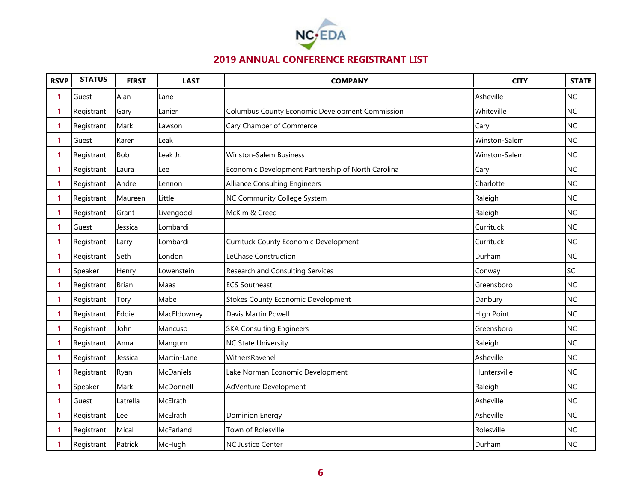

| <b>RSVP</b>  | <b>STATUS</b> | <b>FIRST</b> | <b>LAST</b>      | <b>COMPANY</b>                                     | <b>CITY</b>       | <b>STATE</b> |
|--------------|---------------|--------------|------------------|----------------------------------------------------|-------------------|--------------|
| 1            | Guest         | Alan         | Lane             |                                                    | Asheville         | <b>NC</b>    |
| 1.           | Registrant    | Gary         | Lanier           | Columbus County Economic Development Commission    | Whiteville        | <b>NC</b>    |
| 1.           | Registrant    | Mark         | Lawson           | Cary Chamber of Commerce                           | Cary              | <b>NC</b>    |
| 1            | Guest         | Karen        | Leak             |                                                    | Winston-Salem     | <b>NC</b>    |
| 1            | Registrant    | <b>Bob</b>   | Leak Jr.         | <b>Winston-Salem Business</b>                      | Winston-Salem     | <b>NC</b>    |
| 1.           | Registrant    | Laura        | Lee              | Economic Development Partnership of North Carolina | Cary              | <b>NC</b>    |
| 1            | Registrant    | Andre        | Lennon           | <b>Alliance Consulting Engineers</b>               | Charlotte         | <b>NC</b>    |
| $\mathbf{1}$ | Registrant    | Maureen      | Little           | NC Community College System                        | Raleigh           | <b>NC</b>    |
| 1            | Registrant    | Grant        | Livengood        | McKim & Creed                                      | Raleigh           | <b>NC</b>    |
| $\mathbf{1}$ | Guest         | Jessica      | Lombardi         |                                                    | Currituck         | <b>NC</b>    |
| 1            | Registrant    | Larry        | Lombardi         | <b>Currituck County Economic Development</b>       | Currituck         | <b>NC</b>    |
| 1            | Registrant    | Seth         | London           | LeChase Construction                               | Durham            | <b>NC</b>    |
| 1            | Speaker       | Henry        | Lowenstein       | Research and Consulting Services                   | Conway            | SC           |
| 1            | Registrant    | <b>Brian</b> | Maas             | <b>ECS Southeast</b>                               | Greensboro        | <b>NC</b>    |
| 1            | Registrant    | Tory         | Mabe             | <b>Stokes County Economic Development</b>          | Danbury           | <b>NC</b>    |
| 1            | Registrant    | Eddie        | MacEldowney      | Davis Martin Powell                                | <b>High Point</b> | <b>NC</b>    |
| 1            | Registrant    | John         | Mancuso          | <b>SKA Consulting Engineers</b>                    | Greensboro        | <b>NC</b>    |
| 1.           | Registrant    | Anna         | Mangum           | <b>NC State University</b>                         | Raleigh           | <b>NC</b>    |
| 1            | Registrant    | Jessica      | Martin-Lane      | WithersRavenel                                     | Asheville         | <b>NC</b>    |
| 1            | Registrant    | Ryan         | <b>McDaniels</b> | Lake Norman Economic Development                   | Huntersville      | <b>NC</b>    |
| 1            | Speaker       | Mark         | McDonnell        | AdVenture Development                              | Raleigh           | <b>NC</b>    |
| 1            | Guest         | Latrella     | McElrath         |                                                    | Asheville         | <b>NC</b>    |
| 1            | Registrant    | Lee          | McElrath         | Dominion Energy                                    | Asheville         | <b>NC</b>    |
| 1            | Registrant    | Mical        | McFarland        | Town of Rolesville                                 | Rolesville        | <b>NC</b>    |
| 1            | Registrant    | Patrick      | McHugh           | <b>NC Justice Center</b>                           | Durham            | <b>NC</b>    |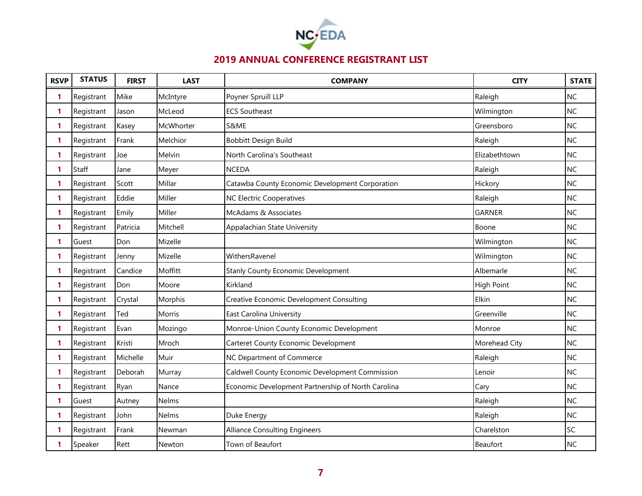

| <b>RSVP</b> | <b>STATUS</b> | <b>FIRST</b> | <b>LAST</b>   | <b>COMPANY</b>                                     | <b>CITY</b>       | <b>STATE</b> |
|-------------|---------------|--------------|---------------|----------------------------------------------------|-------------------|--------------|
| 1           | Registrant    | Mike         | McIntyre      | Poyner Spruill LLP                                 | Raleigh           | <b>NC</b>    |
| 1           | Registrant    | Jason        | McLeod        | <b>ECS Southeast</b>                               | Wilmington        | NC           |
| 1           | Registrant    | Kasey        | McWhorter     | S&ME                                               | Greensboro        | <b>NC</b>    |
| 1           | Registrant    | Frank        | Melchior      | Bobbitt Design Build                               | Raleigh           | <b>NC</b>    |
| 1           | Registrant    | Joe          | Melvin        | North Carolina's Southeast                         | Elizabethtown     | <b>NC</b>    |
| 1           | Staff         | Jane         | Meyer         | <b>NCEDA</b>                                       | Raleigh           | <b>NC</b>    |
| 1           | Registrant    | Scott        | Millar        | Catawba County Economic Development Corporation    | Hickory           | <b>NC</b>    |
| 1           | Registrant    | Eddie        | Miller        | <b>NC Electric Cooperatives</b>                    | Raleigh           | <b>NC</b>    |
| 1           | Registrant    | Emily        | Miller        | McAdams & Associates                               | <b>GARNER</b>     | <b>NC</b>    |
| 1.          | Registrant    | Patricia     | Mitchell      | Appalachian State University                       | Boone             | <b>NC</b>    |
| 1           | Guest         | Don          | Mizelle       |                                                    | Wilmington        | <b>NC</b>    |
| 1           | Registrant    | Jenny        | Mizelle       | WithersRavenel                                     | Wilmington        | <b>NC</b>    |
| 1           | Registrant    | Candice      | Moffitt       | Stanly County Economic Development                 | Albemarle         | <b>NC</b>    |
| 1           | Registrant    | Don          | Moore         | Kirkland                                           | <b>High Point</b> | <b>NC</b>    |
| 1           | Registrant    | Crystal      | Morphis       | Creative Economic Development Consulting           | Elkin             | <b>NC</b>    |
| 1           | Registrant    | Ted          | <b>Morris</b> | East Carolina University                           | Greenville        | <b>NC</b>    |
| 1           | Registrant    | Evan         | Mozingo       | Monroe-Union County Economic Development           | Monroe            | <b>NC</b>    |
| 1           | Registrant    | Kristi       | Mroch         | Carteret County Economic Development               | Morehead City     | <b>NC</b>    |
| 1           | Registrant    | Michelle     | Muir          | NC Department of Commerce                          | Raleigh           | <b>NC</b>    |
| 1           | Registrant    | Deborah      | Murray        | Caldwell County Economic Development Commission    | Lenoir            | <b>NC</b>    |
| 1           | Registrant    | Ryan         | Nance         | Economic Development Partnership of North Carolina | Cary              | <b>NC</b>    |
| 1           | Guest         | Autney       | Nelms         |                                                    | Raleigh           | <b>NC</b>    |
| 1           | Registrant    | John         | Nelms         | Duke Energy                                        | Raleigh           | <b>NC</b>    |
| 1           | Registrant    | Frank        | Newman        | <b>Alliance Consulting Engineers</b>               | Charelston        | SC           |
| 1           | Speaker       | Rett         | Newton        | Town of Beaufort                                   | Beaufort          | <b>NC</b>    |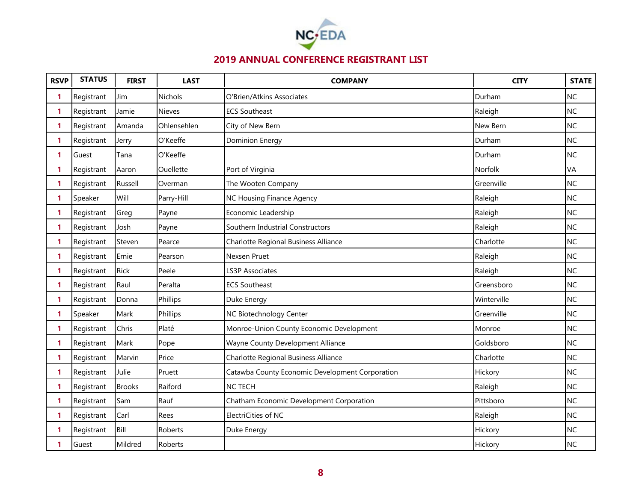

| <b>RSVP</b>  | <b>STATUS</b> | <b>FIRST</b>  | <b>LAST</b>   | <b>COMPANY</b>                                  | <b>CITY</b> | <b>STATE</b> |
|--------------|---------------|---------------|---------------|-------------------------------------------------|-------------|--------------|
| 1            | Registrant    | Jim           | Nichols       | O'Brien/Atkins Associates                       | Durham      | <b>NC</b>    |
| 1            | Registrant    | Jamie         | <b>Nieves</b> | <b>ECS Southeast</b>                            | Raleigh     | NC           |
| 1            | Registrant    | Amanda        | Ohlensehlen   | City of New Bern                                | New Bern    | <b>NC</b>    |
| 1            | Registrant    | Jerry         | O'Keeffe      | <b>Dominion Energy</b>                          | Durham      | <b>NC</b>    |
| 1            | Guest         | Tana          | O'Keeffe      |                                                 | Durham      | <b>NC</b>    |
| 1            | Registrant    | Aaron         | Ouellette     | Port of Virginia                                | Norfolk     | VA           |
| 1            | Registrant    | Russell       | Overman       | The Wooten Company                              | Greenville  | <b>NC</b>    |
| 1            | Speaker       | Will          | Parry-Hill    | NC Housing Finance Agency                       | Raleigh     | <b>NC</b>    |
| $\mathbf{1}$ | Registrant    | Greg          | Payne         | Economic Leadership                             | Raleigh     | <b>NC</b>    |
| 1.           | Registrant    | Josh          | Payne         | Southern Industrial Constructors                | Raleigh     | <b>NC</b>    |
| 1            | Registrant    | Steven        | Pearce        | Charlotte Regional Business Alliance            | Charlotte   | <b>NC</b>    |
| 1            | Registrant    | Ernie         | Pearson       | Nexsen Pruet                                    | Raleigh     | <b>NC</b>    |
| 1            | Registrant    | <b>Rick</b>   | Peele         | <b>LS3P Associates</b>                          | Raleigh     | <b>NC</b>    |
| 1            | Registrant    | Raul          | Peralta       | <b>ECS Southeast</b>                            | Greensboro  | <b>NC</b>    |
| 1            | Registrant    | Donna         | Phillips      | Duke Energy                                     | Winterville | <b>NC</b>    |
| 1            | Speaker       | Mark          | Phillips      | NC Biotechnology Center                         | Greenville  | <b>NC</b>    |
| 1            | Registrant    | Chris         | Platé         | Monroe-Union County Economic Development        | Monroe      | <b>NC</b>    |
| 1            | Registrant    | Mark          | Pope          | Wayne County Development Alliance               | Goldsboro   | <b>NC</b>    |
| 1            | Registrant    | Marvin        | Price         | Charlotte Regional Business Alliance            | Charlotte   | <b>NC</b>    |
| 1            | Registrant    | Julie         | Pruett        | Catawba County Economic Development Corporation | Hickory     | <b>NC</b>    |
| 1            | Registrant    | <b>Brooks</b> | Raiford       | <b>NC TECH</b>                                  | Raleigh     | <b>NC</b>    |
| 1            | Registrant    | Sam           | Rauf          | Chatham Economic Development Corporation        | Pittsboro   | <b>NC</b>    |
| 1            | Registrant    | Carl          | Rees          | ElectriCities of NC                             | Raleigh     | <b>NC</b>    |
| 1            | Registrant    | Bill          | Roberts       | Duke Energy                                     | Hickory     | <b>NC</b>    |
| 1            | Guest         | Mildred       | Roberts       |                                                 | Hickory     | <b>NC</b>    |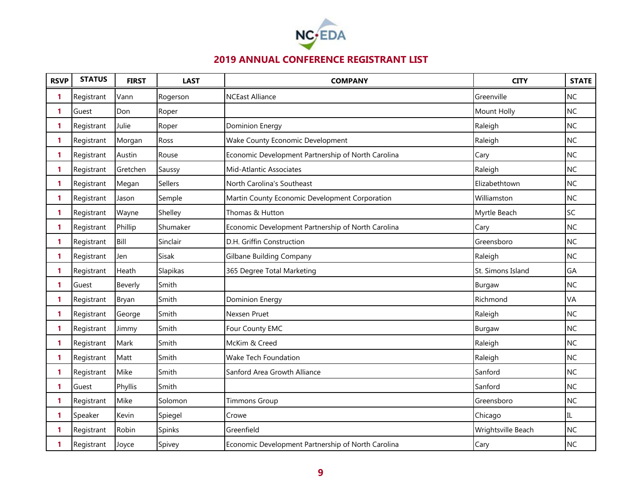

| <b>RSVP</b> | <b>STATUS</b> | <b>FIRST</b> | <b>LAST</b>    | <b>COMPANY</b>                                     | <b>CITY</b>        | <b>STATE</b> |
|-------------|---------------|--------------|----------------|----------------------------------------------------|--------------------|--------------|
| 1           | Registrant    | Vann         | Rogerson       | <b>NCEast Alliance</b>                             | Greenville         | <b>NC</b>    |
| 1           | Guest         | Don          | Roper          |                                                    | Mount Holly        | NC           |
| 1           | Registrant    | Julie        | Roper          | <b>Dominion Energy</b>                             | Raleigh            | NC           |
| 1           | Registrant    | Morgan       | Ross           | Wake County Economic Development                   | Raleigh            | <b>NC</b>    |
| 1           | Registrant    | Austin       | Rouse          | Economic Development Partnership of North Carolina | Cary               | <b>NC</b>    |
| 1           | Registrant    | Gretchen     | Saussy         | Mid-Atlantic Associates                            | Raleigh            | NC           |
| 1           | Registrant    | Megan        | <b>Sellers</b> | North Carolina's Southeast                         | Elizabethtown      | <b>NC</b>    |
| 1           | Registrant    | Jason        | Semple         | Martin County Economic Development Corporation     | Williamston        | <b>NC</b>    |
| 1           | Registrant    | Wayne        | Shelley        | Thomas & Hutton                                    | Myrtle Beach       | SC           |
| 1           | Registrant    | Phillip      | Shumaker       | Economic Development Partnership of North Carolina | Cary               | NC           |
| 1           | Registrant    | Bill         | Sinclair       | D.H. Griffin Construction                          | Greensboro         | NC           |
| 1           | Registrant    | Jen          | Sisak          | <b>Gilbane Building Company</b>                    | Raleigh            | NC           |
| 1           | Registrant    | Heath        | Slapikas       | 365 Degree Total Marketing                         | St. Simons Island  | GA           |
| 1           | Guest         | Beverly      | Smith          |                                                    | Burgaw             | <b>NC</b>    |
| 1           | Registrant    | Bryan        | Smith          | <b>Dominion Energy</b>                             | Richmond           | VA           |
| 1           | Registrant    | George       | Smith          | Nexsen Pruet                                       | Raleigh            | <b>NC</b>    |
| 1           | Registrant    | Jimmy        | Smith          | Four County EMC                                    | Burgaw             | NC           |
| 1           | Registrant    | Mark         | Smith          | McKim & Creed                                      | Raleigh            | <b>NC</b>    |
| 1           | Registrant    | Matt         | Smith          | Wake Tech Foundation                               | Raleigh            | NC           |
| 1           | Registrant    | Mike         | Smith          | Sanford Area Growth Alliance                       | Sanford            | <b>NC</b>    |
| 1           | Guest         | Phyllis      | Smith          |                                                    | Sanford            | NC           |
| 1           | Registrant    | Mike         | Solomon        | <b>Timmons Group</b>                               | Greensboro         | <b>NC</b>    |
| 1           | Speaker       | Kevin        | Spiegel        | Crowe                                              | Chicago            | IL           |
| 1           | Registrant    | Robin        | Spinks         | Greenfield                                         | Wrightsville Beach | <b>NC</b>    |
| 1           | Registrant    | Joyce        | Spivey         | Economic Development Partnership of North Carolina | Cary               | <b>NC</b>    |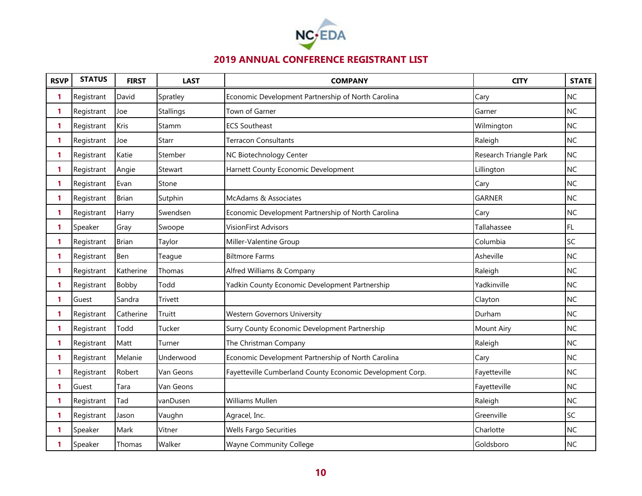

| <b>RSVP</b>  | <b>STATUS</b> | <b>FIRST</b> | <b>LAST</b>      | <b>COMPANY</b>                                            | <b>CITY</b>            | <b>STATE</b> |
|--------------|---------------|--------------|------------------|-----------------------------------------------------------|------------------------|--------------|
| 1            | Registrant    | David        | Spratley         | Economic Development Partnership of North Carolina        | Cary                   | <b>NC</b>    |
| 1            | Registrant    | Joe          | <b>Stallings</b> | Town of Garner                                            | Garner                 | <b>NC</b>    |
| 1            | Registrant    | Kris         | Stamm            | <b>ECS Southeast</b>                                      | Wilmington             | <b>NC</b>    |
| 1            | Registrant    | Joe          | Starr            | <b>Terracon Consultants</b>                               | Raleigh                | <b>NC</b>    |
| 1            | Registrant    | Katie        | Stember          | NC Biotechnology Center                                   | Research Triangle Park | <b>NC</b>    |
| 1            | Registrant    | Angie        | Stewart          | Harnett County Economic Development                       | Lillington             | <b>NC</b>    |
| 1            | Registrant    | Evan         | Stone            |                                                           | Cary                   | <b>NC</b>    |
| 1            | Registrant    | <b>Brian</b> | Sutphin          | McAdams & Associates                                      | <b>GARNER</b>          | <b>NC</b>    |
| 1            | Registrant    | Harry        | Swendsen         | Economic Development Partnership of North Carolina        | Cary                   | <b>NC</b>    |
| 1            | Speaker       | Gray         | Swoope           | <b>VisionFirst Advisors</b>                               | Tallahassee            | FL.          |
| 1            | Registrant    | <b>Brian</b> | Taylor           | Miller-Valentine Group                                    | Columbia               | SC           |
| 1            | Registrant    | Ben          | Teague           | <b>Biltmore Farms</b>                                     | Asheville              | <b>NC</b>    |
| 1            | Registrant    | Katherine    | Thomas           | Alfred Williams & Company                                 | Raleigh                | <b>NC</b>    |
| 1            | Registrant    | Bobby        | Todd             | Yadkin County Economic Development Partnership            | Yadkinville            | <b>NC</b>    |
| $\mathbf{1}$ | Guest         | Sandra       | <b>Trivett</b>   |                                                           | Clayton                | <b>NC</b>    |
| 1            | Registrant    | Catherine    | Truitt           | <b>Western Governors University</b>                       | Durham                 | <b>NC</b>    |
| 1            | Registrant    | Todd         | Tucker           | Surry County Economic Development Partnership             | <b>Mount Airy</b>      | <b>NC</b>    |
| 1            | Registrant    | Matt         | Turner           | The Christman Company                                     | Raleigh                | <b>NC</b>    |
| 1            | Registrant    | Melanie      | Underwood        | Economic Development Partnership of North Carolina        | Cary                   | <b>NC</b>    |
| 1            | Registrant    | Robert       | Van Geons        | Fayetteville Cumberland County Economic Development Corp. | Fayetteville           | <b>NC</b>    |
| 1            | Guest         | Tara         | Van Geons        |                                                           | Fayetteville           | <b>NC</b>    |
| 1            | Registrant    | Tad          | vanDusen         | <b>Williams Mullen</b>                                    | Raleigh                | <b>NC</b>    |
| 1            | Registrant    | Jason        | Vaughn           | Agracel, Inc.                                             | Greenville             | SC           |
| 1            | Speaker       | Mark         | Vitner           | <b>Wells Fargo Securities</b>                             | Charlotte              | <b>NC</b>    |
| 1            | Speaker       | Thomas       | Walker           | <b>Wayne Community College</b>                            | Goldsboro              | <b>NC</b>    |